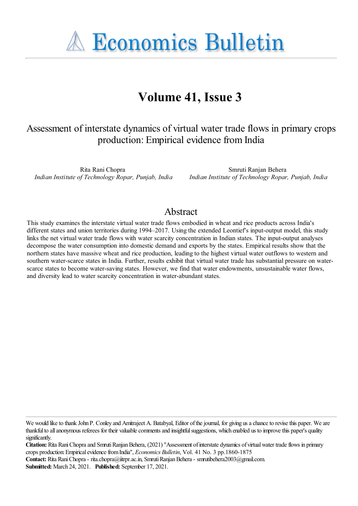**A Economics Bulletin** 

# **Volume 41, Issue 3**

# Assessment of interstate dynamics of virtual water trade flows in primary crops production: Empirical evidence from India

Rita Rani Chopra *Indian Institute of Technology Ropar, Punjab, India*

Smruti Ranjan Behera *Indian Institute of Technology Ropar, Punjab, India*

#### Abstract

This study examines the interstate virtual water trade flows embodied in wheat and rice products across India's different states and union territories during 1994–2017. Using the extended Leontief's input-output model, this study links the net virtual water trade flows with water scarcity concentration in Indian states. The input-output analyses decompose the water consumption into domestic demand and exports by the states. Empirical results show that the northern states have massive wheat and rice production, leading to the highest virtual water outflows to western and southern water-scarce states in India. Further, results exhibit that virtual water trade has substantial pressure on waterscarce states to become water-saving states. However, we find that water endowments, unsustainable water flows, and diversity lead to water scarcity concentration in water-abundant states.

**Contact:** Rita RaniChopra- rita.chopra@iitrpr.ac.in, SmrutiRanjanBehera- smrutibehera2003@gmail.com. **Submitted:** March 24, 2021. **Published:** September 17, 2021.

We would like to thank John P. Conley and Amitrajeet A. Batabyal, Editor of the journal, for giving us a chance to revise this paper. We are thankful to all anonymous referees for their valuable comments and insightful suggestions, which enabled us to improve this paper's quality significantly.

**Citation:** Rita Rani Chopra and Smruti Ranjan Behera, (2021) "Assessment of interstate dynamics of virtual water trade flows in primary crops production:EmpiricalevidencefromIndia'', *Economics Bulletin*, Vol. 41 No. 3 pp.1860-1875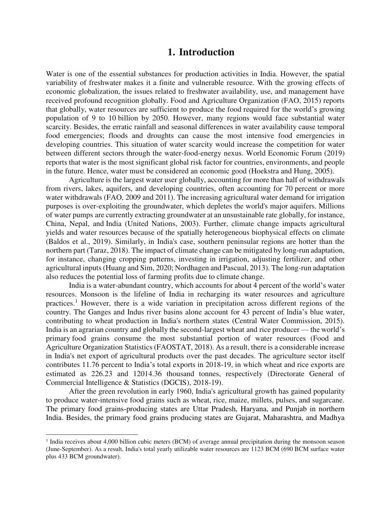#### **1. Introduction**

Water is one of the essential substances for production activities in India. However, the spatial variability of freshwater makes it a finite and vulnerable resource. With the growing effects of economic globalization, the issues related to freshwater availability, use, and management have received profound recognition globally. Food and Agriculture Organization (FAO, 2015) reports that globally, water resources are sufficient to produce the food required for the world's growing population of 9 to 10 billion by 2050. However, many regions would face substantial water scarcity. Besides, the erratic rainfall and seasonal differences in water availability cause temporal food emergencies; floods and droughts can cause the most intensive food emergencies in developing countries. This situation of water scarcity would increase the competition for water between different sectors through the water-food-energy nexus. World Economic Forum (2019) reports that water is the most significant global risk factor for countries, environments, and people in the future. Hence, water must be considered an economic good (Hoekstra and Hung, 2005).

Agriculture is the largest water user globally, accounting for more than half of withdrawals from rivers, lakes, aquifers, and developing countries, often accounting for 70 percent or more water withdrawals (FAO, 2009 and 2011). The increasing agricultural water demand for irrigation purposes is over-exploiting the groundwater, which depletes the world's major aquifers. Millions of water pumps are currently extracting groundwater at an unsustainable rate globally, for instance, China, Nepal, and India (United Nations, 2003). Further, climate change impacts agricultural yields and water resources because of the spatially heterogeneous biophysical effects on climate (Baldos et al., 2019). Similarly, in India's case, southern peninsular regions are hotter than the northern part (Taraz, 2018). The impact of climate change can be mitigated by long-run adaptation, for instance, changing cropping patterns, investing in irrigation, adjusting fertilizer, and other agricultural inputs (Huang and Sim, 2020; Nordhagen and Pascual, 2013). The long-run adaptation also reduces the potential loss of farming profits due to climate change.

India is a water-abundant country, which accounts for about 4 percent of the world's water resources. Monsoon is the lifeline of India in recharging its water resources and agriculture practices.<sup>1</sup> However, there is a wide variation in precipitation across different regions of the country. The Ganges and Indus river basins alone account for 43 percent of India's blue water, contributing to wheat production in India's northern states (Central Water Commission, 2015). India is an agrarian country and globally the second-largest wheat and rice producer — the world's primary food grains consume the most substantial portion of water resources (Food and Agriculture Organization Statistics (FAOSTAT, 2018). As a result, there is a considerable increase in India's net export of agricultural products over the past decades. The agriculture sector itself contributes 11.76 percent to India's total exports in 2018-19, in which wheat and rice exports are estimated as 226.23 and 12014.36 thousand tonnes, respectively (Directorate General of Commercial Intelligence & Statistics (DGCIS), 2018-19).

After the green revolution in early 1960, India's agricultural growth has gained popularity to produce water-intensive food grains such as wheat, rice, maize, millets, pulses, and sugarcane. The primary food grains-producing states are Uttar Pradesh, Haryana, and Punjab in northern India. Besides, the primary food grains producing states are Gujarat, Maharashtra, and Madhya

<sup>&</sup>lt;sup>1</sup> India receives about 4,000 billion cubic meters (BCM) of average annual precipitation during the monsoon season (June-September). As a result, India's total yearly utilizable water resources are 1123 BCM (690 BCM surface water plus 433 BCM groundwater).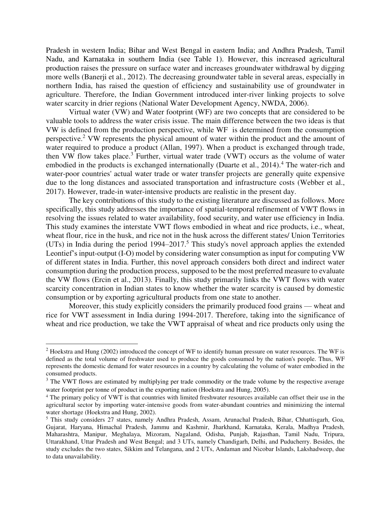Pradesh in western India; Bihar and West Bengal in eastern India; and Andhra Pradesh, Tamil Nadu, and Karnataka in southern India (see Table 1). However, this increased agricultural production raises the pressure on surface water and increases groundwater withdrawal by digging more wells (Banerji et al., 2012). The decreasing groundwater table in several areas, especially in northern India, has raised the question of efficiency and sustainability use of groundwater in agriculture. Therefore, the Indian Government introduced inter-river linking projects to solve water scarcity in drier regions (National Water Development Agency, NWDA, 2006).

Virtual water (VW) and Water footprint (WF) are two concepts that are considered to be valuable tools to address the water crisis issue. The main difference between the two ideas is that VW is defined from the production perspective, while WF is determined from the consumption perspective.<sup>2</sup> VW represents the physical amount of water within the product and the amount of water required to produce a product (Allan, 1997). When a product is exchanged through trade, then VW flow takes place.<sup>3</sup> Further, virtual water trade (VWT) occurs as the volume of water embodied in the products is exchanged internationally (Duarte et al., 2014).<sup>4</sup> The water-rich and water-poor countries' actual water trade or water transfer projects are generally quite expensive due to the long distances and associated transportation and infrastructure costs (Webber et al., 2017). However, trade-in water-intensive products are realistic in the present day.

The key contributions of this study to the existing literature are discussed as follows. More specifically, this study addresses the importance of spatial-temporal refinement of VWT flows in resolving the issues related to water availability, food security, and water use efficiency in India. This study examines the interstate VWT flows embodied in wheat and rice products, i.e., wheat, wheat flour, rice in the husk, and rice not in the husk across the different states/ Union Territories (UTs) in India during the period  $1994-2017$ <sup>5</sup>. This study's novel approach applies the extended Leontief's input-output (I-O) model by considering water consumption as input for computing VW of different states in India. Further, this novel approach considers both direct and indirect water consumption during the production process, supposed to be the most preferred measure to evaluate the VW flows (Ercin et al., 2013). Finally, this study primarily links the VWT flows with water scarcity concentration in Indian states to know whether the water scarcity is caused by domestic consumption or by exporting agricultural products from one state to another.

Moreover, this study explicitly considers the primarily produced food grains — wheat and rice for VWT assessment in India during 1994-2017. Therefore, taking into the significance of wheat and rice production, we take the VWT appraisal of wheat and rice products only using the

 $2$  Hoekstra and Hung (2002) introduced the concept of WF to identify human pressure on water resources. The WF is defined as the total volume of freshwater used to produce the goods consumed by the nation's people. Thus, WF represents the domestic demand for water resources in a country by calculating the volume of water embodied in the consumed products.

<sup>&</sup>lt;sup>3</sup> The VWT flows are estimated by multiplying per trade commodity or the trade volume by the respective average water footprint per tonne of product in the exporting nation (Hoekstra and Hung, 2005).

<sup>4</sup> The primary policy of VWT is that countries with limited freshwater resources available can offset their use in the agricultural sector by importing water-intensive goods from water-abundant countries and minimizing the internal water shortage (Hoekstra and Hung, 2002).

<sup>5</sup> This study considers 27 states, namely Andhra Pradesh, Assam, Arunachal Pradesh, Bihar, Chhattisgarh, Goa, Gujarat, Haryana, Himachal Pradesh, Jammu and Kashmir, Jharkhand, Karnataka, Kerala, Madhya Pradesh, Maharashtra, Manipur, Meghalaya, Mizoram, Nagaland, Odisha, Punjab, Rajasthan, Tamil Nadu, Tripura, Uttarakhand, Uttar Pradesh and West Bengal; and 3 UTs, namely Chandigarh, Delhi, and Puducherry. Besides, the study excludes the two states, Sikkim and Telangana, and 2 UTs, Andaman and Nicobar Islands, Lakshadweep, due to data unavailability.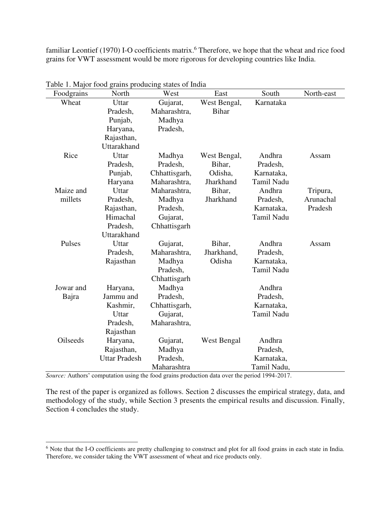familiar Leontief (1970) I-O coefficients matrix.<sup>6</sup> Therefore, we hope that the wheat and rice food grains for VWT assessment would be more rigorous for developing countries like India.

| Foodgrains      | North                | West          | East         | South             | North-east |
|-----------------|----------------------|---------------|--------------|-------------------|------------|
| Wheat           | Uttar                | Gujarat,      | West Bengal, | Karnataka         |            |
|                 | Pradesh,             | Maharashtra,  | <b>Bihar</b> |                   |            |
|                 | Punjab,              | Madhya        |              |                   |            |
|                 | Haryana,             | Pradesh,      |              |                   |            |
|                 | Rajasthan,           |               |              |                   |            |
|                 | Uttarakhand          |               |              |                   |            |
| Rice            | Uttar                | Madhya        | West Bengal, | Andhra            | Assam      |
|                 | Pradesh,             | Pradesh,      | Bihar,       | Pradesh,          |            |
|                 | Punjab,              | Chhattisgarh, | Odisha,      | Karnataka,        |            |
|                 | Haryana              | Maharashtra,  | Jharkhand    | Tamil Nadu        |            |
| Maize and       | Uttar                | Maharashtra,  | Bihar,       | Andhra            | Tripura,   |
| millets         | Pradesh,             | Madhya        | Jharkhand    | Pradesh,          | Arunachal  |
|                 | Rajasthan,           | Pradesh,      |              | Karnataka,        | Pradesh    |
|                 | Himachal             | Gujarat,      |              | <b>Tamil Nadu</b> |            |
|                 | Pradesh,             | Chhattisgarh  |              |                   |            |
|                 | Uttarakhand          |               |              |                   |            |
| Pulses          | Uttar                | Gujarat,      | Bihar,       | Andhra            | Assam      |
|                 | Pradesh,             | Maharashtra,  | Jharkhand,   | Pradesh,          |            |
|                 | Rajasthan            | Madhya        | Odisha       | Karnataka,        |            |
|                 |                      | Pradesh,      |              | Tamil Nadu        |            |
|                 |                      | Chhattisgarh  |              |                   |            |
| Jowar and       | Haryana,             | Madhya        |              | Andhra            |            |
| Bajra           | Jammu and            | Pradesh,      |              | Pradesh,          |            |
|                 | Kashmir,             | Chhattisgarh, |              | Karnataka,        |            |
|                 | Uttar                | Gujarat,      |              | Tamil Nadu        |            |
|                 | Pradesh,             | Maharashtra,  |              |                   |            |
|                 | Rajasthan            |               |              |                   |            |
| <b>Oilseeds</b> | Haryana,             | Gujarat,      | West Bengal  | Andhra            |            |
|                 | Rajasthan,           | Madhya        |              | Pradesh,          |            |
|                 | <b>Uttar Pradesh</b> | Pradesh,      |              | Karnataka,        |            |
|                 |                      | Maharashtra   |              | Tamil Nadu,       |            |

Table 1. Major food grains producing states of India

*Source:* Authors' computation using the food grains production data over the period 1994-2017.

The rest of the paper is organized as follows. Section 2 discusses the empirical strategy, data, and methodology of the study, while Section 3 presents the empirical results and discussion. Finally, Section 4 concludes the study.

<sup>&</sup>lt;sup>6</sup> Note that the I-O coefficients are pretty challenging to construct and plot for all food grains in each state in India. Therefore, we consider taking the VWT assessment of wheat and rice products only.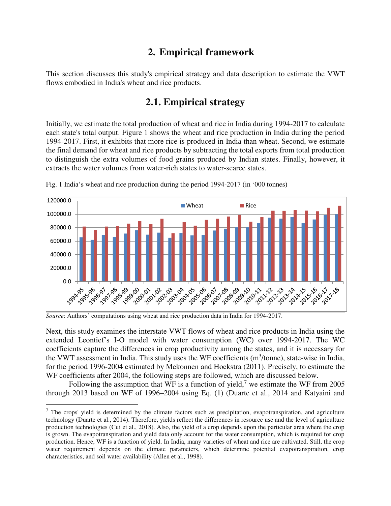# **2. Empirical framework**

This section discusses this study's empirical strategy and data description to estimate the VWT flows embodied in India's wheat and rice products.

## **2.1. Empirical strategy**

Initially, we estimate the total production of wheat and rice in India during 1994-2017 to calculate each state's total output. Figure 1 shows the wheat and rice production in India during the period 1994-2017. First, it exhibits that more rice is produced in India than wheat. Second, we estimate the final demand for wheat and rice products by subtracting the total exports from total production to distinguish the extra volumes of food grains produced by Indian states. Finally, however, it extracts the water volumes from water-rich states to water-scarce states.



Fig. 1 India's wheat and rice production during the period 1994-2017 (in '000 tonnes)

*Source*: Authors' computations using wheat and rice production data in India for 1994-2017.

 $\overline{a}$ 

Next, this study examines the interstate VWT flows of wheat and rice products in India using the extended Leontief's I-O model with water consumption (WC) over 1994-2017. The WC coefficients capture the differences in crop productivity among the states, and it is necessary for the VWT assessment in India. This study uses the WF coefficients  $(m^3/tonne)$ , state-wise in India, for the period 1996-2004 estimated by Mekonnen and Hoekstra (2011). Precisely, to estimate the WF coefficients after 2004, the following steps are followed, which are discussed below.

Following the assumption that WF is a function of yield,<sup>7</sup> we estimate the WF from 2005 through 2013 based on WF of 1996–2004 using Eq. (1) (Duarte et al., 2014 and Katyaini and

 $7$  The crops' yield is determined by the climate factors such as precipitation, evapotranspiration, and agriculture technology (Duarte et al., 2014). Therefore, yields reflect the differences in resource use and the level of agriculture production technologies (Cui et al., 2018). Also, the yield of a crop depends upon the particular area where the crop is grown. The evapotranspiration and yield data only account for the water consumption, which is required for crop production. Hence, WF is a function of yield. In India, many varieties of wheat and rice are cultivated. Still, the crop water requirement depends on the climate parameters, which determine potential evapotranspiration, crop characteristics, and soil water availability (Allen et al., 1998).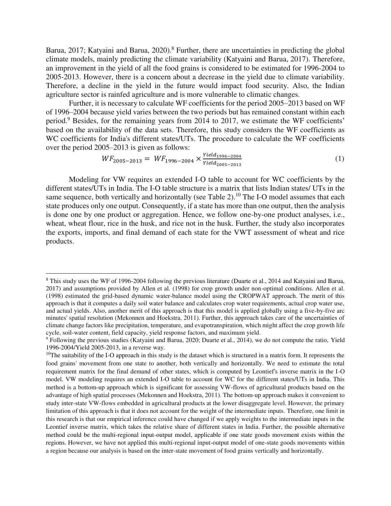Barua, 2017; Katyaini and Barua, 2020).<sup>8</sup> Further, there are uncertainties in predicting the global climate models, mainly predicting the climate variability (Katyaini and Barua, 2017). Therefore, an improvement in the yield of all the food grains is considered to be estimated for 1996-2004 to 2005-2013. However, there is a concern about a decrease in the yield due to climate variability. Therefore, a decline in the yield in the future would impact food security. Also, the Indian agriculture sector is rainfed agriculture and is more vulnerable to climatic changes.

Further, it is necessary to calculate WF coefficients for the period 2005–2013 based on WF of 1996–2004 because yield varies between the two periods but has remained constant within each period.<sup>9</sup> Besides, for the remaining years from 2014 to 2017, we estimate the WF coefficients' based on the availability of the data sets. Therefore, this study considers the WF coefficients as WC coefficients for India's different states/UTs. The procedure to calculate the WF coefficients over the period 2005–2013 is given as follows:

$$
WF_{2005-2013} = WF_{1996-2004} \times \frac{Yield_{1996-2004}}{Yield_{2005-2013}}
$$
 (1)

Modeling for VW requires an extended I-O table to account for WC coefficients by the different states/UTs in India. The I-O table structure is a matrix that lists Indian states/ UTs in the same sequence, both vertically and horizontally (see Table 2).<sup>10</sup> The I-O model assumes that each state produces only one output. Consequently, if a state has more than one output, then the analysis is done one by one product or aggregation. Hence, we follow one-by-one product analyses, i.e., wheat, wheat flour, rice in the husk, and rice not in the husk. Further, the study also incorporates the exports, imports, and final demand of each state for the VWT assessment of wheat and rice products.

<sup>&</sup>lt;sup>8</sup> This study uses the WF of 1996-2004 following the previous literature (Duarte et al., 2014 and Katyaini and Barua, 2017) and assumptions provided by Allen et al. (1998) for crop growth under non-optimal conditions. Allen et al. (1998) estimated the grid-based dynamic water-balance model using the CROPWAT approach. The merit of this approach is that it computes a daily soil water balance and calculates crop water requirements, actual crop water use, and actual yields. Also, another merit of this approach is that this model is applied globally using a five-by-five arc minutes' spatial resolution (Mekonnen and Hoekstra, 2011). Further, this approach takes care of the uncertainties of climate change factors like precipitation, temperature, and evapotranspiration, which might affect the crop growth life cycle, soil-water content, field capacity, yield response factors, and maximum yield.

<sup>&</sup>lt;sup>9</sup> Following the previous studies (Katyaini and Barua, 2020; Duarte et al., 2014), we do not compute the ratio, Yield 1996-2004/Yield 2005-2013, in a reverse way.

 $10$ The suitability of the I-O approach in this study is the dataset which is structured in a matrix form. It represents the food grains' movement from one state to another, both vertically and horizontally. We need to estimate the total requirement matrix for the final demand of other states, which is computed by Leontief's inverse matrix in the I-O model. VW modeling requires an extended I-O table to account for WC for the different states/UTs in India. This method is a bottom-up approach which is significant for assessing VW-flows of agricultural products based on the advantage of high spatial processes (Mekonnen and Hoekstra, 2011). The bottom-up approach makes it convenient to study inter-state VW-flows embedded in agricultural products at the lower disaggregate level. However, the primary limitation of this approach is that it does not account for the weight of the intermediate inputs. Therefore, one limit in this research is that our empirical inference could have changed if we apply weights to the intermediate inputs in the Leontief inverse matrix, which takes the relative share of different states in India. Further, the possible alternative method could be the multi-regional input-output model, applicable if one state goods movement exists within the regions. However, we have not applied this multi-regional input-output model of one-state goods movements within a region because our analysis is based on the inter-state movement of food grains vertically and horizontally.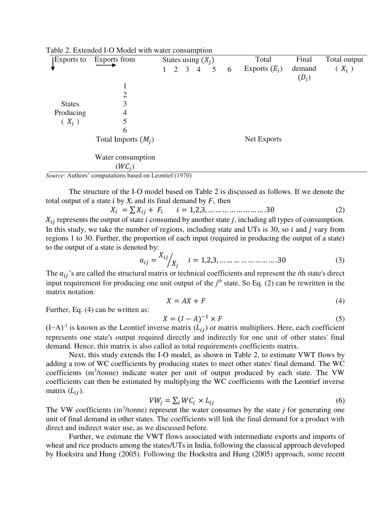| Exports to    | Exports from          | States using $(X_i)$ |  |             |                | Total           | Final | Total output    |         |         |
|---------------|-----------------------|----------------------|--|-------------|----------------|-----------------|-------|-----------------|---------|---------|
|               |                       | 1                    |  | $2 \quad 3$ | $\overline{4}$ | $5\overline{)}$ | 6     | Exports $(E_i)$ | demand  | $(X_i)$ |
|               |                       |                      |  |             |                |                 |       |                 | $(D_i)$ |         |
|               |                       |                      |  |             |                |                 |       |                 |         |         |
|               | $\overline{2}$        |                      |  |             |                |                 |       |                 |         |         |
| <b>States</b> | 3                     |                      |  |             |                |                 |       |                 |         |         |
| Producing     | $\overline{4}$        |                      |  |             |                |                 |       |                 |         |         |
| $(X_i)$       | 5                     |                      |  |             |                |                 |       |                 |         |         |
|               | 6                     |                      |  |             |                |                 |       |                 |         |         |
|               | Total Imports $(M_i)$ |                      |  |             |                |                 |       | Net Exports     |         |         |
|               |                       |                      |  |             |                |                 |       |                 |         |         |
|               | Water consumption     |                      |  |             |                |                 |       |                 |         |         |
|               | $(WC_i)$              |                      |  |             |                |                 |       |                 |         |         |

Table 2. Extended I-O Model with water consumption

*Source*: Authors' computations based on Leontief (1970)

The structure of the I-O model based on Table 2 is discussed as follows. If we denote the total output of a state *i* by  $X_i$  and its final demand by  $F_i$ , then<br> $X_i = \sum X_i$ ,  $F_i$ ,  $i = 1, 2, 3, ..., ...,$ 

$$
X_i = \sum X_{ij} + F_i \qquad i = 1, 2, 3, \dots \dots \dots \dots \dots \dots \dots \dots 30 \tag{2}
$$

 $X_{ij}$  represents the output of state i consumed by another state j, including all types of consumption. In this study, we take the number of regions, including state and UTs is 30, so  $i$  and  $j$  vary from regions 1 to 30. Further, the proportion of each input (required in producing the output of a state) to the output of a state is denoted by:

$$
a_{ij} = \frac{X_{ij}}{X_j} \qquad i = 1, 2, 3, \dots \dots \dots \dots \dots \dots \dots \dots 30 \tag{3}
$$

The  $a_{ij}$ 's are called the structural matrix or technical coefficients and represent the *i*th state's direct input requirement for producing one unit output of the  $j<sup>th</sup>$  state. So Eq. (2) can be rewritten in the matrix notation:

$$
X = AX + F \tag{4}
$$

Further, Eq. (4) can be written as:

$$
X = (I - A)^{-1} \times F \tag{5}
$$

 $(I-A)^{-1}$  is known as the Leontief inverse matrix  $(L_{ij})$  or matrix multipliers. Here, each coefficient represents one state's output required directly and indirectly for one unit of other states' final demand. Hence, this matrix is also called as total requirements coefficients matrix.

Next, this study extends the I-O model, as shown in Table 2, to estimate VWT flows by adding a row of WC coefficients by producing states to meet other states' final demand. The WC coefficients (m<sup>3</sup>/tonne) indicate water per unit of output produced by each state. The VW coefficients can then be estimated by multiplying the WC coefficients with the Leontief inverse matrix  $(L_{ij})$ .

$$
V W_j = \sum_i W C_i \times L_{ij} \tag{6}
$$

The VW coefficients  $(m^3/tonne)$  represent the water consumes by the state  $j$  for generating one unit of final demand in other states. The coefficients will link the final demand for a product with direct and indirect water use, as we discussed before.

Further, we estimate the VWT flows associated with intermediate exports and imports of wheat and rice products among the states/UTs in India, following the classical approach developed by Hoekstra and Hung (2005). Following the Hoekstra and Hung (2005) approach, some recent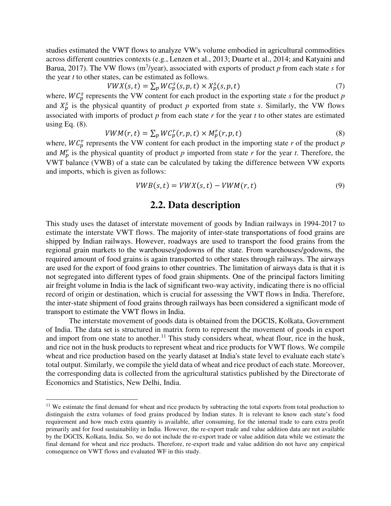studies estimated the VWT flows to analyze VW's volume embodied in agricultural commodities across different countries contexts (e.g., Lenzen et al., 2013; Duarte et al., 2014; and Katyaini and Barua, 2017). The VW flows ( $m^3$ /year), associated with exports of product  $p$  from each state  $s$  for the year *t* to other states, can be estimated as follows.

$$
VWX(s,t) = \sum_{p} WC_p^s(s,p,t) \times X_p^s(s,p,t)
$$
\n<sup>(7)</sup>

where,  $WC_p^s$  represents the VW content for each product in the exporting state *s* for the product *p* and  $X_p^s$  is the physical quantity of product *p* exported from state *s*. Similarly, the VW flows associated with imports of product *p* from each state *r* for the year *t* to other states are estimated using Eq.  $(8)$ .

$$
VWM(r,t) = \sum_{p} WC_p^r(r,p,t) \times M_p^r(r,p,t)
$$
\n(8)

where,  $WC_p^r$  represents the VW content for each product in the importing state  $r$  of the product  $p$ and  $M_p^r$  is the physical quantity of product  $p$  imported from state  $r$  for the year  $t$ . Therefore, the VWT balance (VWB) of a state can be calculated by taking the difference between VW exports and imports, which is given as follows:

$$
VWB(s,t) = VWX(s,t) - VWM(r,t) \tag{9}
$$

#### **2.2. Data description**

This study uses the dataset of interstate movement of goods by Indian railways in 1994-2017 to estimate the interstate VWT flows. The majority of inter-state transportations of food grains are shipped by Indian railways. However, roadways are used to transport the food grains from the regional grain markets to the warehouses/godowns of the state. From warehouses/godowns, the required amount of food grains is again transported to other states through railways. The airways are used for the export of food grains to other countries. The limitation of airways data is that it is not segregated into different types of food grain shipments. One of the principal factors limiting air freight volume in India is the lack of significant two-way activity, indicating there is no official record of origin or destination, which is crucial for assessing the VWT flows in India. Therefore, the inter-state shipment of food grains through railways has been considered a significant mode of transport to estimate the VWT flows in India.

The interstate movement of goods data is obtained from the DGCIS, Kolkata, Government of India. The data set is structured in matrix form to represent the movement of goods in export and import from one state to another.<sup>11</sup> This study considers wheat, wheat flour, rice in the husk, and rice not in the husk products to represent wheat and rice products for VWT flows. We compile wheat and rice production based on the yearly dataset at India's state level to evaluate each state's total output. Similarly, we compile the yield data of wheat and rice product of each state. Moreover, the corresponding data is collected from the agricultural statistics published by the Directorate of Economics and Statistics, New Delhi, India.

<sup>&</sup>lt;sup>11</sup> We estimate the final demand for wheat and rice products by subtracting the total exports from total production to distinguish the extra volumes of food grains produced by Indian states. It is relevant to know each state's food requirement and how much extra quantity is available, after consuming, for the internal trade to earn extra profit primarily and for food sustainability in India. However, the re-export trade and value addition data are not available by the DGCIS, Kolkata, India. So, we do not include the re-export trade or value addition data while we estimate the final demand for wheat and rice products. Therefore, re-export trade and value addition do not have any empirical consequence on VWT flows and evaluated WF in this study.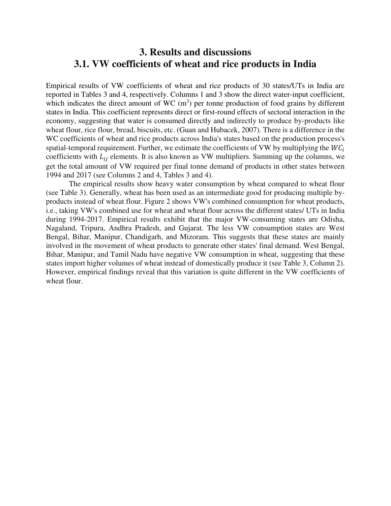### **3. Results and discussions 3.1. VW coefficients of wheat and rice products in India**

Empirical results of VW coefficients of wheat and rice products of 30 states/UTs in India are reported in Tables 3 and 4, respectively. Columns 1 and 3 show the direct water-input coefficient, which indicates the direct amount of WC  $(m<sup>3</sup>)$  per tonne production of food grains by different states in India. This coefficient represents direct or first-round effects of sectoral interaction in the economy, suggesting that water is consumed directly and indirectly to produce by-products like wheat flour, rice flour, bread, biscuits, etc. (Guan and Hubacek, 2007). There is a difference in the WC coefficients of wheat and rice products across India's states based on the production process's spatial-temporal requirement. Further, we estimate the coefficients of VW by multiplying the  $WC_i$ coefficients with  $L_{ij}$  elements. It is also known as VW multipliers. Summing up the columns, we get the total amount of VW required per final tonne demand of products in other states between 1994 and 2017 (see Columns 2 and 4, Tables 3 and 4).

The empirical results show heavy water consumption by wheat compared to wheat flour (see Table 3). Generally, wheat has been used as an intermediate good for producing multiple byproducts instead of wheat flour. Figure 2 shows VW's combined consumption for wheat products, i.e., taking VW's combined use for wheat and wheat flour across the different states/ UTs in India during 1994-2017. Empirical results exhibit that the major VW-consuming states are Odisha, Nagaland, Tripura, Andhra Pradesh, and Gujarat. The less VW consumption states are West Bengal, Bihar, Manipur, Chandigarh, and Mizoram. This suggests that these states are mainly involved in the movement of wheat products to generate other states' final demand. West Bengal, Bihar, Manipur, and Tamil Nadu have negative VW consumption in wheat, suggesting that these states import higher volumes of wheat instead of domestically produce it (see Table 3, Column 2). However, empirical findings reveal that this variation is quite different in the VW coefficients of wheat flour.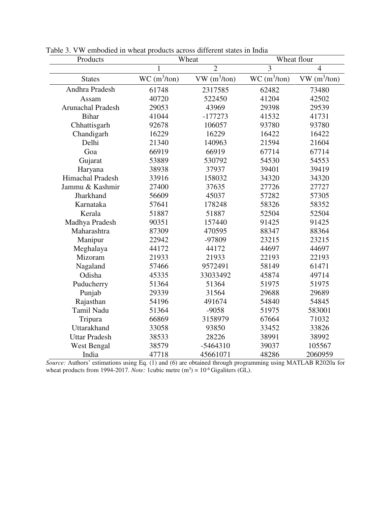| Products                 |                | Wheat                      | Wheat flour    |                |  |
|--------------------------|----------------|----------------------------|----------------|----------------|--|
|                          | 1              | $\overline{2}$             | $\overline{3}$ | $\overline{4}$ |  |
| <b>States</b>            | $WC (m^3/ton)$ | $VW$ (m <sup>3</sup> /ton) | $WC (m^3/ton)$ | $VW(m^3/ton)$  |  |
| Andhra Pradesh           | 61748          | 2317585                    | 62482          | 73480          |  |
| Assam                    | 40720          | 522450                     | 41204          | 42502          |  |
| <b>Arunachal Pradesh</b> | 29053          | 43969                      | 29398          | 29539          |  |
| <b>Bihar</b>             | 41044          | $-177273$                  | 41532          | 41731          |  |
| Chhattisgarh             | 92678          | 106057                     | 93780          | 93780          |  |
| Chandigarh               | 16229          | 16229                      | 16422          | 16422          |  |
| Delhi                    | 21340          | 140963                     | 21594          | 21604          |  |
| Goa                      | 66919          | 66919                      | 67714          | 67714          |  |
| Gujarat                  | 53889          | 530792                     | 54530          | 54553          |  |
| Haryana                  | 38938          | 37937                      | 39401          | 39419          |  |
| Himachal Pradesh         | 33916          | 158032                     | 34320          | 34320          |  |
| Jammu & Kashmir          | 27400          | 37635                      | 27726          | 27727          |  |
| Jharkhand                | 56609          | 45037                      | 57282          | 57305          |  |
| Karnataka                | 57641          | 178248                     | 58326          | 58352          |  |
| Kerala                   | 51887          | 51887                      | 52504          | 52504          |  |
| Madhya Pradesh           | 90351          | 157440                     | 91425          | 91425          |  |
| Maharashtra              | 87309          | 470595                     | 88347          | 88364          |  |
| Manipur                  | 22942          | -97809                     | 23215          | 23215          |  |
| Meghalaya                | 44172          | 44172                      | 44697          | 44697          |  |
| Mizoram                  | 21933          | 21933                      | 22193          | 22193          |  |
| Nagaland                 | 57466          | 9572491                    | 58149          | 61471          |  |
| Odisha                   | 45335          | 33033492                   | 45874          | 49714          |  |
| Puducherry               | 51364          | 51364                      | 51975          | 51975          |  |
| Punjab                   | 29339          | 31564                      | 29688          | 29689          |  |
| Rajasthan                | 54196          | 491674                     | 54840          | 54845          |  |
| Tamil Nadu               | 51364          | $-9058$                    | 51975          | 583001         |  |
| Tripura                  | 66869          | 3158979                    | 67664          | 71032          |  |
| Uttarakhand              | 33058          | 93850                      | 33452          | 33826          |  |
| <b>Uttar Pradesh</b>     | 38533          | 28226                      | 38991          | 38992          |  |
| West Bengal              | 38579          | $-5464310$                 | 39037          | 105567         |  |
| India                    | 47718          | 45661071                   | 48286          | 2060959        |  |

Table 3. VW embodied in wheat products across different states in India

*Source:* Authors' estimations using Eq. (1) and (6) are obtained through programming using MATLAB R2020a for wheat products from 1994-2017. *Note:* 1 cubic metre  $(m^3) = 10^{-6}$  Gigaliters (GL).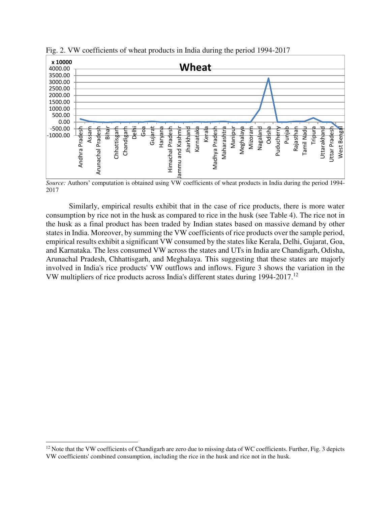

Fig. 2. VW coefficients of wheat products in India during the period 1994-2017

*Source:* Authors' computation is obtained using VW coefficients of wheat products in India during the period 1994- 2017

Similarly, empirical results exhibit that in the case of rice products, there is more water consumption by rice not in the husk as compared to rice in the husk (see Table 4). The rice not in the husk as a final product has been traded by Indian states based on massive demand by other states in India. Moreover, by summing the VW coefficients of rice products over the sample period, empirical results exhibit a significant VW consumed by the states like Kerala, Delhi, Gujarat, Goa, and Karnataka. The less consumed VW across the states and UTs in India are Chandigarh, Odisha, Arunachal Pradesh, Chhattisgarh, and Meghalaya. This suggesting that these states are majorly involved in India's rice products' VW outflows and inflows. Figure 3 shows the variation in the VW multipliers of rice products across India's different states during 1994-2017.<sup>12</sup>

 $\overline{a}$  $12$  Note that the VW coefficients of Chandigarh are zero due to missing data of WC coefficients. Further, Fig. 3 depicts VW coefficients' combined consumption, including the rice in the husk and rice not in the husk.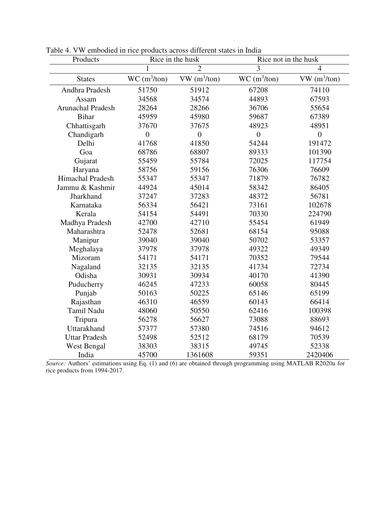| Products                 | Rice in the husk |                | Rice not in the husk |                            |  |
|--------------------------|------------------|----------------|----------------------|----------------------------|--|
|                          | 1                | $\overline{2}$ | 3                    | $\overline{4}$             |  |
| <b>States</b>            | $WC (m^3/ton)$   | $VW(m^3/ton)$  | $WC (m^3/ton)$       | $VW$ (m <sup>3</sup> /ton) |  |
| Andhra Pradesh           | 51750            | 51912          | 67208                | 74110                      |  |
| Assam                    | 34568            | 34574          | 44893                | 67593                      |  |
| <b>Arunachal Pradesh</b> | 28264            | 28266          | 36706                | 55654                      |  |
| <b>Bihar</b>             | 45959            | 45980          | 59687                | 67389                      |  |
| Chhattisgarh             | 37670            | 37675          | 48923                | 48951                      |  |
| Chandigarh               | $\overline{0}$   | $\overline{0}$ | $\overline{0}$       | $\overline{0}$             |  |
| Delhi                    | 41768            | 41850          | 54244                | 191472                     |  |
| Goa                      | 68786            | 68807          | 89333                | 101390                     |  |
| Gujarat                  | 55459            | 55784          | 72025                | 117754                     |  |
| Haryana                  | 58756            | 59156          | 76306                | 76609                      |  |
| Himachal Pradesh         | 55347            | 55347          | 71879                | 76782                      |  |
| Jammu & Kashmir          | 44924            | 45014          | 58342                | 86405                      |  |
| Jharkhand                | 37247            | 37283          | 48372                | 56781                      |  |
| Karnataka                | 56334            | 56421          | 73161                | 102678                     |  |
| Kerala                   | 54154            | 54491          | 70330                | 224790                     |  |
| Madhya Pradesh           | 42700            | 42710          | 55454                | 61949                      |  |
| Maharashtra              | 52478            | 52681          | 68154                | 95088                      |  |
| Manipur                  | 39040            | 39040          | 50702                | 53357                      |  |
| Meghalaya                | 37978            | 37978          | 49322                | 49349                      |  |
| Mizoram                  | 54171            | 54171          | 70352                | 79544                      |  |
| Nagaland                 | 32135            | 32135          | 41734                | 72734                      |  |
| Odisha                   | 30931            | 30934          | 40170                | 41390                      |  |
| Puducherry               | 46245            | 47233          | 60058                | 80445                      |  |
| Punjab                   | 50163            | 50225          | 65146                | 65199                      |  |
| Rajasthan                | 46310            | 46559          | 60143                | 66414                      |  |
| <b>Tamil Nadu</b>        | 48060            | 50550          | 62416                | 100398                     |  |
| Tripura                  | 56278            | 56627          | 73088                | 88693                      |  |
| Uttarakhand              | 57377            | 57380          | 74516                | 94612                      |  |
| <b>Uttar Pradesh</b>     | 52498            | 52512          | 68179                | 70539                      |  |
| <b>West Bengal</b>       | 38303            | 38315          | 49745                | 52338                      |  |
| India                    | 45700            | 1361608        | 59351                | 2420406                    |  |

Table 4. VW embodied in rice products across different states in India

*Source:* Authors' estimations using Eq. (1) and (6) are obtained through programming using MATLAB R2020a for rice products from 1994-2017.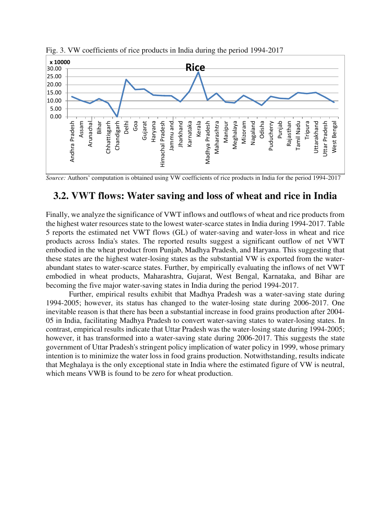

Fig. 3. VW coefficients of rice products in India during the period 1994-2017

*Source:* Authors' computation is obtained using VW coefficients of rice products in India for the period 1994-2017

### **3.2. VWT flows: Water saving and loss of wheat and rice in India**

Finally, we analyze the significance of VWT inflows and outflows of wheat and rice products from the highest water resources state to the lowest water-scarce states in India during 1994-2017. Table 5 reports the estimated net VWT flows (GL) of water-saving and water-loss in wheat and rice products across India's states. The reported results suggest a significant outflow of net VWT embodied in the wheat product from Punjab, Madhya Pradesh, and Haryana. This suggesting that these states are the highest water-losing states as the substantial VW is exported from the waterabundant states to water-scarce states. Further, by empirically evaluating the inflows of net VWT embodied in wheat products, Maharashtra, Gujarat, West Bengal, Karnataka, and Bihar are becoming the five major water-saving states in India during the period 1994-2017.

Further, empirical results exhibit that Madhya Pradesh was a water-saving state during 1994-2005; however, its status has changed to the water-losing state during 2006-2017. One inevitable reason is that there has been a substantial increase in food grains production after 2004- 05 in India, facilitating Madhya Pradesh to convert water-saving states to water-losing states. In contrast, empirical results indicate that Uttar Pradesh was the water-losing state during 1994-2005; however, it has transformed into a water-saving state during 2006-2017. This suggests the state government of Uttar Pradesh's stringent policy implication of water policy in 1999, whose primary intention is to minimize the water loss in food grains production. Notwithstanding, results indicate that Meghalaya is the only exceptional state in India where the estimated figure of VW is neutral, which means VWB is found to be zero for wheat production.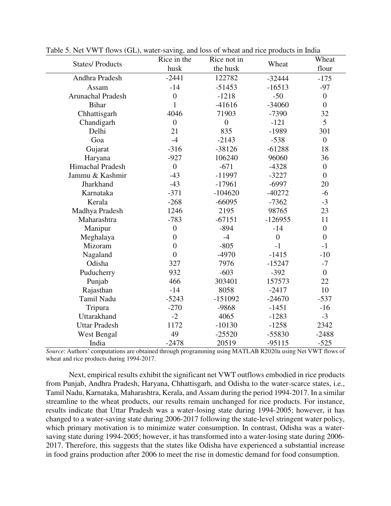|                          | Rice in the    | Rice not in    |                  | Wheat          |
|--------------------------|----------------|----------------|------------------|----------------|
| <b>States/Products</b>   | husk           | the husk       | Wheat            | flour          |
| Andhra Pradesh           | $-2441$        | 122782         | $-32444$         | $-175$         |
| Assam                    | $-14$          | $-51453$       | $-16513$         | $-97$          |
| <b>Arunachal Pradesh</b> | $\overline{0}$ | $-1218$        | $-50$            | $\overline{0}$ |
| <b>Bihar</b>             | 1              | $-41616$       | $-34060$         | $\overline{0}$ |
| Chhattisgarh             | 4046           | 71903          | $-7390$          | 32             |
| Chandigarh               | $\overline{0}$ | $\overline{0}$ | $-121$           | 5              |
| Delhi                    | 21             | 835            | $-1989$          | 301            |
| Goa                      | $-4$           | $-2143$        | $-538$           | $\overline{0}$ |
| Gujarat                  | $-316$         | $-38126$       | $-61288$         | 18             |
| Haryana                  | $-927$         | 106240         | 96060            | 36             |
| Himachal Pradesh         | $\overline{0}$ | $-671$         | $-4328$          | $\overline{0}$ |
| Jammu & Kashmir          | $-43$          | $-11997$       | $-3227$          | $\overline{0}$ |
| Jharkhand                | $-43$          | $-17961$       | $-6997$          | 20             |
| Karnataka                | $-371$         | $-104620$      | $-40272$         | $-6$           |
| Kerala                   | $-268$         | $-66095$       | $-7362$          | $-3$           |
| Madhya Pradesh           | 1246           | 2195           | 98765            | 23             |
| Maharashtra              | $-783$         | $-67151$       | $-126955$        | 11             |
| Manipur                  | $\overline{0}$ | $-894$         | $-14$            | $\overline{0}$ |
| Meghalaya                | $\overline{0}$ | $-4$           | $\boldsymbol{0}$ | $\overline{0}$ |
| Mizoram                  | $\overline{0}$ | $-805$         | $-1$             | $-1$           |
| Nagaland                 | $\theta$       | $-4970$        | $-1415$          | $-10$          |
| Odisha                   | 327            | 7976           | $-15247$         | $-7$           |
| Puducherry               | 932            | $-603$         | $-392$           | $\overline{0}$ |
| Punjab                   | 466            | 303401         | 157573           | 22             |
| Rajasthan                | $-14$          | 8058           | $-2417$          | 10             |
| Tamil Nadu               | $-5243$        | $-151092$      | $-24670$         | $-537$         |
| Tripura                  | $-270$         | -9868          | $-1451$          | $-16$          |
| Uttarakhand              | $-2$           | 4065           | $-1283$          | $-3$           |
| <b>Uttar Pradesh</b>     | 1172           | $-10130$       | $-1258$          | 2342           |
| West Bengal              | 49             | $-25520$       | -55830           | $-2488$        |
| India                    | $-2478$        | 20519          | $-95115$         | $-525$         |

Table 5. Net VWT flows (GL), water-saving, and loss of wheat and rice products in India

*Source*: Authors' computations are obtained through programming using MATLAB R2020a using Net VWT flows of wheat and rice products during 1994-2017.

Next, empirical results exhibit the significant net VWT outflows embodied in rice products from Punjab, Andhra Pradesh, Haryana, Chhattisgarh, and Odisha to the water-scarce states, i.e., Tamil Nadu, Karnataka, Maharashtra, Kerala, and Assam during the period 1994-2017. In a similar streamline to the wheat products, our results remain unchanged for rice products. For instance, results indicate that Uttar Pradesh was a water-losing state during 1994-2005; however, it has changed to a water-saving state during 2006-2017 following the state-level stringent water policy, which primary motivation is to minimize water consumption. In contrast, Odisha was a watersaving state during 1994-2005; however, it has transformed into a water-losing state during 2006- 2017. Therefore, this suggests that the states like Odisha have experienced a substantial increase in food grains production after 2006 to meet the rise in domestic demand for food consumption.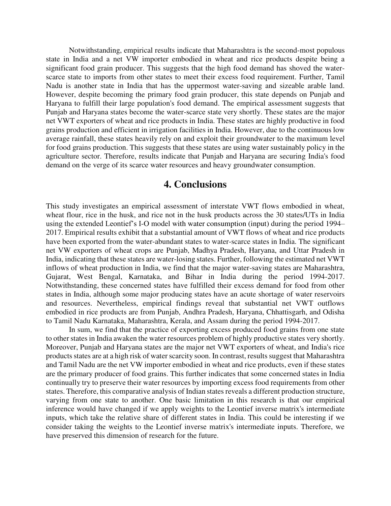Notwithstanding, empirical results indicate that Maharashtra is the second-most populous state in India and a net VW importer embodied in wheat and rice products despite being a significant food grain producer. This suggests that the high food demand has shoved the waterscarce state to imports from other states to meet their excess food requirement. Further, Tamil Nadu is another state in India that has the uppermost water-saving and sizeable arable land. However, despite becoming the primary food grain producer, this state depends on Punjab and Haryana to fulfill their large population's food demand. The empirical assessment suggests that Punjab and Haryana states become the water-scarce state very shortly. These states are the major net VWT exporters of wheat and rice products in India. These states are highly productive in food grains production and efficient in irrigation facilities in India. However, due to the continuous low average rainfall, these states heavily rely on and exploit their groundwater to the maximum level for food grains production. This suggests that these states are using water sustainably policy in the agriculture sector. Therefore, results indicate that Punjab and Haryana are securing India's food demand on the verge of its scarce water resources and heavy groundwater consumption.

#### **4. Conclusions**

This study investigates an empirical assessment of interstate VWT flows embodied in wheat, wheat flour, rice in the husk, and rice not in the husk products across the 30 states/UTs in India using the extended Leontief's I-O model with water consumption (input) during the period 1994– 2017. Empirical results exhibit that a substantial amount of VWT flows of wheat and rice products have been exported from the water-abundant states to water-scarce states in India. The significant net VW exporters of wheat crops are Punjab, Madhya Pradesh, Haryana, and Uttar Pradesh in India, indicating that these states are water-losing states. Further, following the estimated net VWT inflows of wheat production in India, we find that the major water-saving states are Maharashtra, Gujarat, West Bengal, Karnataka, and Bihar in India during the period 1994-2017. Notwithstanding, these concerned states have fulfilled their excess demand for food from other states in India, although some major producing states have an acute shortage of water reservoirs and resources. Nevertheless, empirical findings reveal that substantial net VWT outflows embodied in rice products are from Punjab, Andhra Pradesh, Haryana, Chhattisgarh, and Odisha to Tamil Nadu Karnataka, Maharashtra, Kerala, and Assam during the period 1994-2017.

In sum, we find that the practice of exporting excess produced food grains from one state to other states in India awaken the water resources problem of highly productive states very shortly. Moreover, Punjab and Haryana states are the major net VWT exporters of wheat, and India's rice products states are at a high risk of water scarcity soon. In contrast, results suggest that Maharashtra and Tamil Nadu are the net VW importer embodied in wheat and rice products, even if these states are the primary producer of food grains. This further indicates that some concerned states in India continually try to preserve their water resources by importing excess food requirements from other states. Therefore, this comparative analysis of Indian states reveals a different production structure, varying from one state to another. One basic limitation in this research is that our empirical inference would have changed if we apply weights to the Leontief inverse matrix's intermediate inputs, which take the relative share of different states in India. This could be interesting if we consider taking the weights to the Leontief inverse matrix's intermediate inputs. Therefore, we have preserved this dimension of research for the future.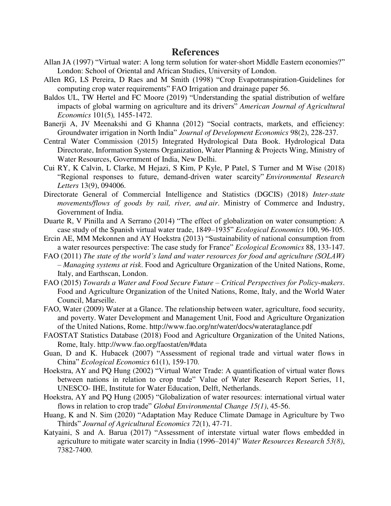#### **References**

- Allan JA (1997) "Virtual water: A long term solution for water-short Middle Eastern economies?" London: School of Oriental and African Studies, University of London.
- Allen RG, LS Pereira, D Raes and M Smith (1998) "Crop Evapotranspiration-Guidelines for computing crop water requirements" FAO Irrigation and drainage paper 56.
- Baldos UL, TW Hertel and FC Moore (2019) "Understanding the spatial distribution of welfare impacts of global warming on agriculture and its drivers" *American Journal of Agricultural Economics* 101(5)*,* 1455-1472.
- Banerji A, JV Meenakshi and G Khanna (2012) "Social contracts, markets, and efficiency: Groundwater irrigation in North India" *Journal of Development Economics* 98(2), 228-237.
- Central Water Commission (2015) Integrated Hydrological Data Book. Hydrological Data Directorate, Information Systems Organization, Water Planning & Projects Wing, Ministry of Water Resources, Government of India, New Delhi.
- Cui RY, K Calvin, L Clarke, M Hejazi, S Kim, P Kyle, P Patel, S Turner and M Wise (2018) "Regional responses to future, demand-driven water scarcity" *Environmental Research Letters* 13(9), 094006.
- Directorate General of Commercial Intelligence and Statistics (DGCIS) (2018) *Inter-state movements/flows of goods by rail, river, and air*. Ministry of Commerce and Industry, Government of India.
- Duarte R, V Pinilla and A Serrano (2014) "The effect of globalization on water consumption: A case study of the Spanish virtual water trade, 1849–1935" *Ecological Economics* 100, 96-105.
- Ercin AE, MM Mekonnen and AY Hoekstra (2013) "Sustainability of national consumption from a water resources perspective: The case study for France" *Ecological Economics* 88, 133-147.
- FAO (2011) *The state of the world's land and water resources for food and agriculture (SOLAW) – Managing systems at risk*. Food and Agriculture Organization of the United Nations, Rome, Italy, and Earthscan, London.
- FAO (2015) *Towards a Water and Food Secure Future – Critical Perspectives for Policy‐makers*. Food and Agriculture Organization of the United Nations, Rome, Italy, and the World Water Council, Marseille.
- FAO, Water (2009) Water at a Glance. The relationship between water, agriculture, food security, and poverty. Water Development and Management Unit, Food and Agriculture Organization of the United Nations, Rome. http://www.fao.org/nr/water/docs/waterataglance.pdf
- FAOSTAT Statistics Database (2018) Food and Agriculture Organization of the United Nations, Rome, Italy.<http://www.fao.org/faostat/en/#data>
- Guan, D and K. Hubacek (2007) "Assessment of regional trade and virtual water flows in China" *Ecological Economics* 61(1), 159-170.
- Hoekstra, AY and PQ Hung (2002) "Virtual Water Trade: A quantification of virtual water flows between nations in relation to crop trade" Value of Water Research Report Series, 11, UNESCO- IHE, Institute for Water Education, Delft, Netherlands.
- Hoekstra, AY and PQ Hung (2005) "Globalization of water resources: international virtual water flows in relation to crop trade" *Global Environmental Change 15(1)*, 45-56.
- Huang, K and N. Sim (2020) "Adaptation May Reduce Climate Damage in Agriculture by Two Thirds" *Journal of Agricultural Economics 72*(1), 47-71.
- Katyaini, S and A. Barua (2017) "Assessment of interstate virtual water flows embedded in agriculture to mitigate water scarcity in India (1996–2014)" *Water Resources Research 53(8)*, 7382-7400.